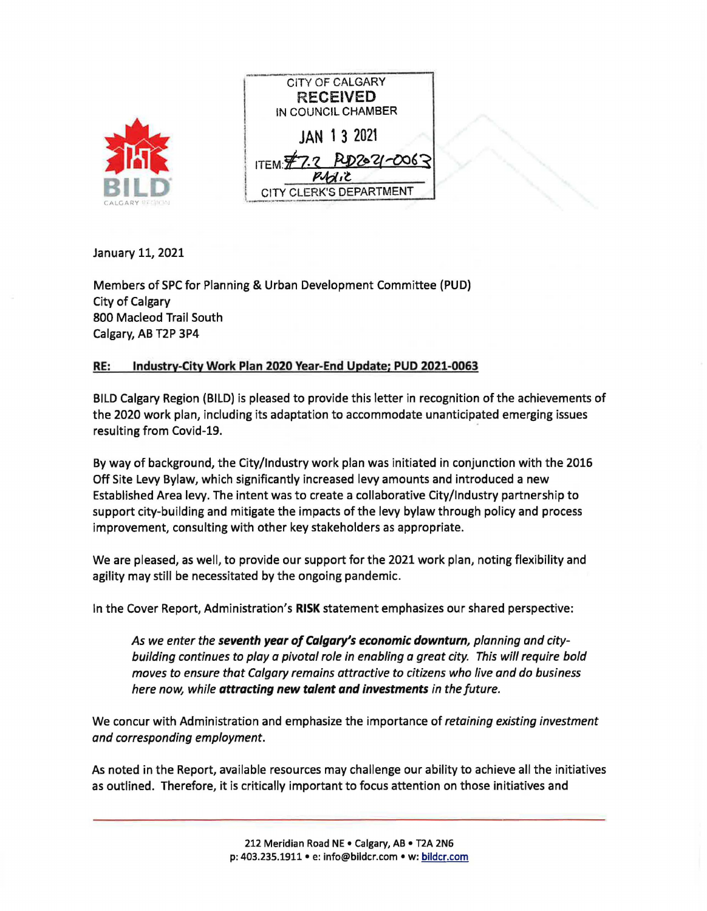| CALGARY SANTLEY |  |
|-----------------|--|

| <b>CITY OF CALGARY</b>  |
|-------------------------|
| <b>RECEIVED</b>         |
| IN COUNCIL CHAMBER      |
| JAN 13 2021             |
| ITEM \$7.2 RD2021-0063  |
|                         |
| CITY CLERK'S DEPARTMENT |
|                         |

January 11, 2021

Members of SPC for Planning & Urban Development Committee (PUD) City of Calgary 800 Macleod Trail South **Calgary, AB** T2P 3P4

## **RE: Industry-City Work Plan 2020 Year-End Update; PUD 2021-0063**

BILD Calgary Region (BILD) is pleased to provide this letter in recognition of the achievements of the 2020 work plan, including its adaptation to accommodate unanticipated emerging issues resulting from Covid-19.

By way of background, the City/Industry work plan was initiated in conjunction with the 2016 Off Site Levy Bylaw, which significantly increased levy amounts and introduced a new Established Area levy. The intent was to create a collaborative City/Industry partnership to support city-building and mitigate the impacts of the levy bylaw through policy and process improvement, consulting with other key stakeholders as appropriate.

We are pleased, as well, to provide our support for the 2021 work plan, noting flexibility and agility may still be necessitated by the ongoing pandemic.

In the Cover Report, Administration's **RISK** statement emphasizes our shared perspective:

*As we enter the seventh year of Calgary's economic downturn, planning and citybuilding continues to play a pivotal role in enabling a great city. This will require bold moves to ensure that Calgary remains attractive to citizens who live and do business here now, while attracting new talent and investments in the future.* 

We concur with Administration and emphasize the importance of *retaining existing investment and corresponding employment.* 

As noted in the Report, available resources may challenge our ability to achieve all the initiatives as outlined. Therefore, it is critically important to focus attention on those initiatives and